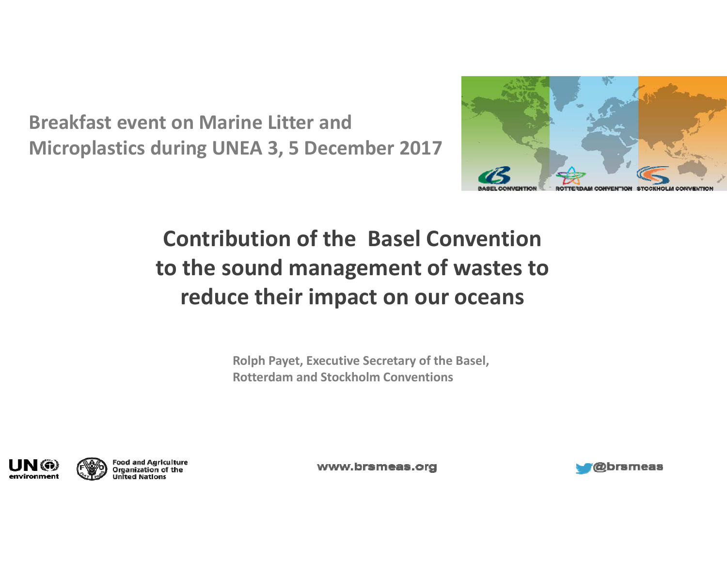**Breakfast event on Marine Litter and Microplastics during UNEA 3, 5 December 2017**



### **Contribution of the Basel Convention to the sound management of wastes to reduce their impact on our oceans**

**Rolph Payet, Executive Secretary of the Basel, Rotterdam and Stockholm Conventions**



Food and Agriculture<br>Organization of the **United Nations** 

www.brsmeas.org

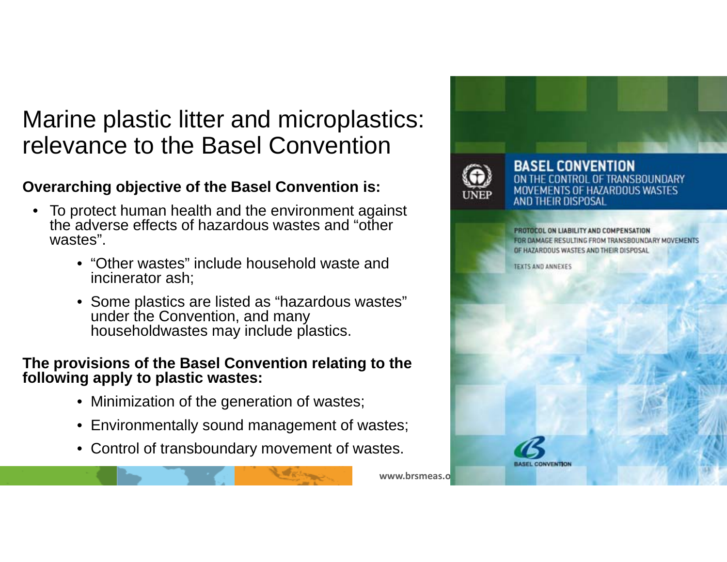### Marine plastic litter and microplastics: relevance to the Basel Convention

#### **Overarching objective of the Basel Convention is:**

- To protect human health and the environment against the adverse effects of hazardous wastes and "other wastes".
	- "Other wastes" include household waste and incinerator ash;
	- Some plastics are listed as "hazardous wastes" under the Convention, and many householdwastes may include plastics.

#### **The provisions of the Basel Convention relating to the following apply to plastic wastes:**

- Minimization of the generation of wastes;
- Environmentally sound management of wastes;
- Control of transboundary movement of wastes.

www.brsmeas.o

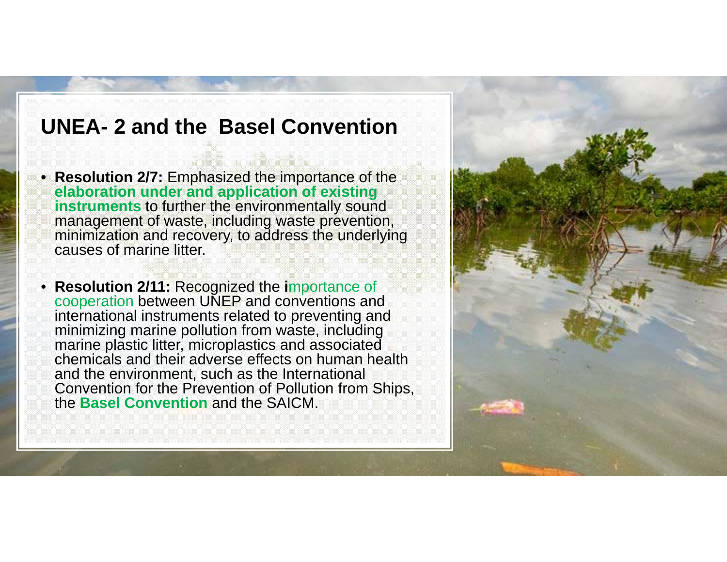#### **UNEA- 2 and the Basel Convention**

- **Resolution 2/7:** Emphasized the importance of the **elaboration under and application of existing instruments** to further the environmentally sound management of waste, including waste prevention, minimization and recovery, to address the underlying causes of marine litter.
- • **Resolution 2/11:** Recognized the **i**mportance of cooperation between UNEP and conventions and international instruments related to preventing and minimizing marine pollution from waste, including marine plastic litter, microplastics and associated chemicals and their adverse effects on human health and the environment, such as the International Convention for the Prevention of Pollution from Ships, the **Basel Convention** and the SAICM.

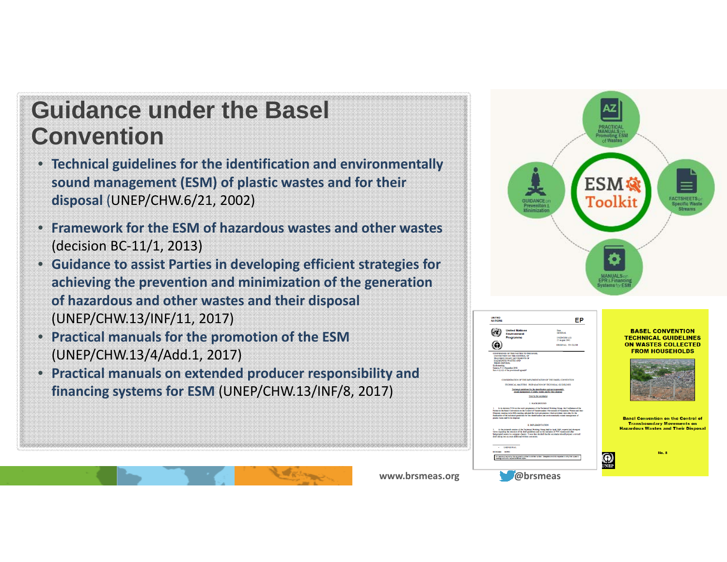### **Guidance under the Basel Convention**

- **Technical guidelines for the identification and environmentally sound management (ESM) of plastic wastes and for their disposal** (UNEP/CHW.6/21, 2002)
- **Framework for the ESM of hazardous wastes and other wastes** (decision BC‐11/1, 2013)
- **Guidance to assist Parties in developing efficient strategies for achieving the prevention and minimization of the generation of hazardous and other wastes and their disposal** (UNEP/CHW.13/INF/11, 2017)
- **Practical manuals for the promotion of the ESM** (UNEP/CHW.13/4/Add.1, 2017)
- **Practical manuals on extended producer responsibility and financing systems for ESM** (UNEP/CHW.13/INF/8, 2017)





#### **BASEL CONVENTION TECHNICAL GUIDELINES ON WASTES COLLECTED FROM HOUSEHOLDS**



**Basel Convention on the Control o Transboundary Movements on Hazardous Wastes and Their Disposal** 

**No. 8** 

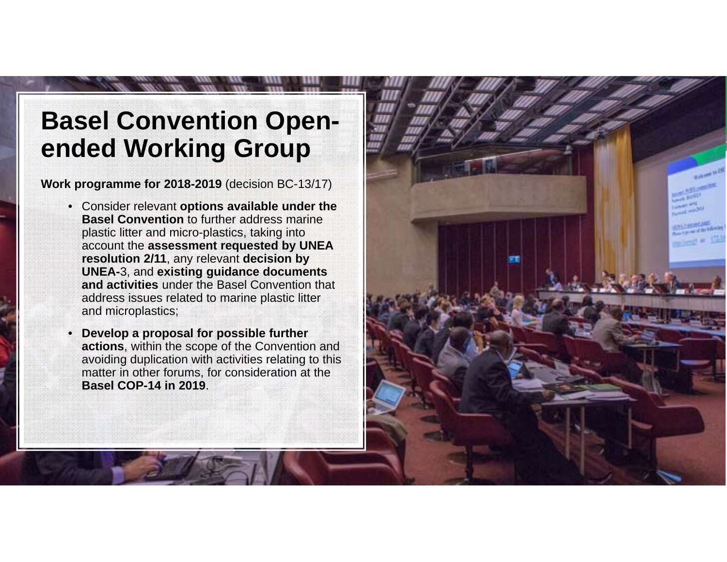### **Basel Convention Openended Working Group**

**Work programme for 2018-2019** (decision BC-13/17)

- Consider relevant **options available under the Basel Convention** to further address marine plastic litter and micro-plastics, taking into account the **assessment requested by UNEA resolution 2/11**, any relevant **decision by UNEA-**3, and **existing guidance documents and activities** under the Basel Convention that address issues related to marine plastic litter and microplastics;
- **Develop a proposal for possible further actions**, within the scope of the Convention and avoiding duplication with activities relating to this matter in other forums, for consideration at the **Basel COP-14 in 2019**.

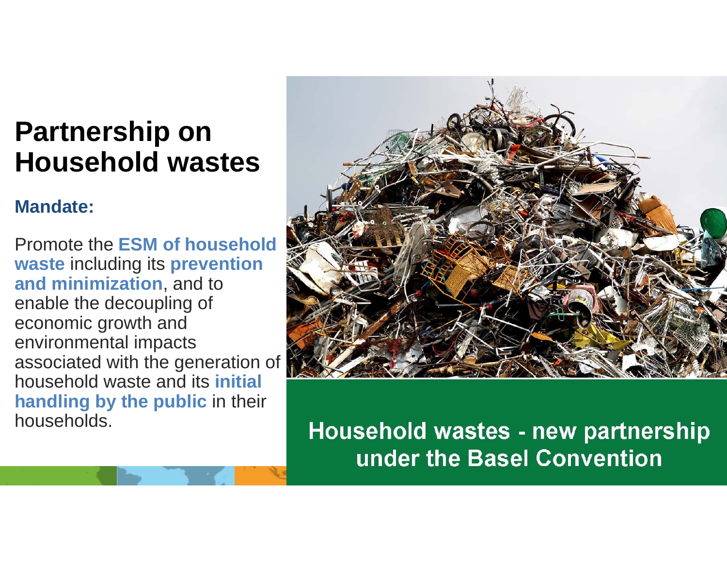### **Partnership on Household wastes**

#### **Mandate:**

Promote the **ESM of household waste** including its **prevention and minimization**, and to enable the decoupling of economic growth and environmental impacts associated with the generation of household waste and its **initial handling by the public** in their households.



Household wastes - new partnership under the Basel Convention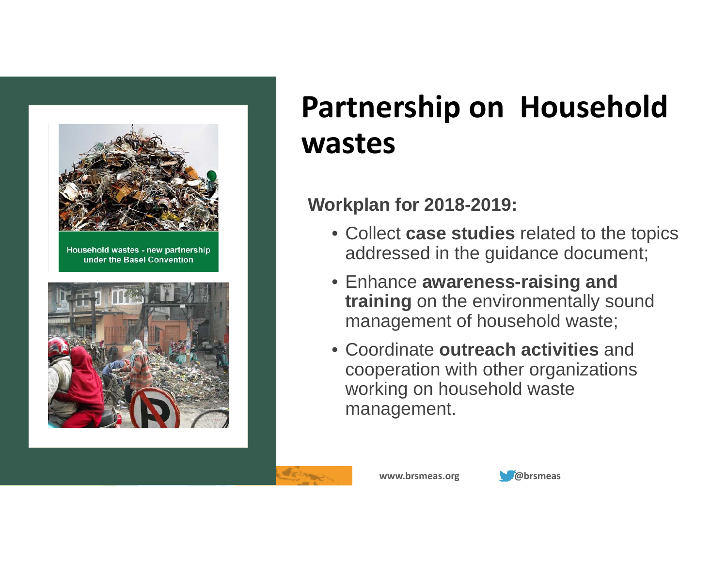

## **Partnership on Household wastes**

#### **Workplan for 2018-2019:**

- Collect **case studies** related to the topics addressed in the guidance document;
- Enhance **awareness-raising and training** on the environmentally sound management of household waste;
- Coordinate **outreach activities** and cooperation with other organizations working on household waste management.

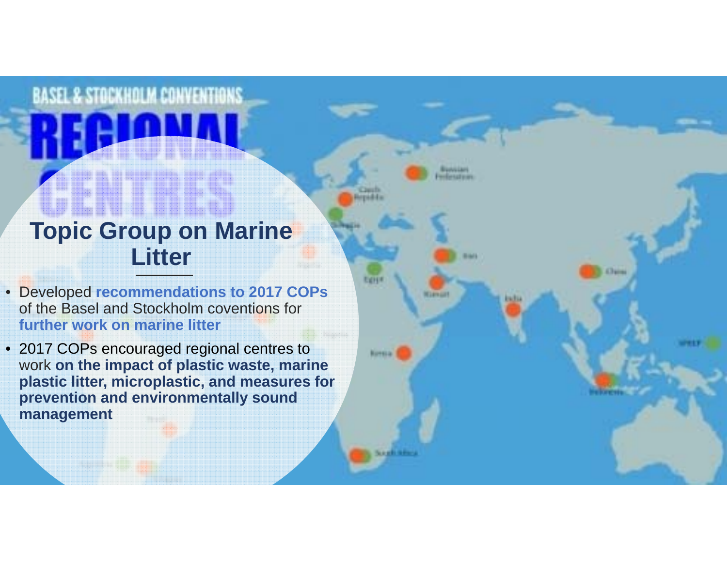# **Topic Group on Marine Litter**

**BASEL & STOCKHOLM CONVENTIONS** 

• Developed **recommendations to 2017 COPs**  of the Basel and Stockholm coventions for **further work on marine litter**

**Carrie** 

• 2017 COPs encouraged regional centres to work **on the impact of plastic waste, marine plastic litter, microplastic, and measures for prevention and environmentally sound management**